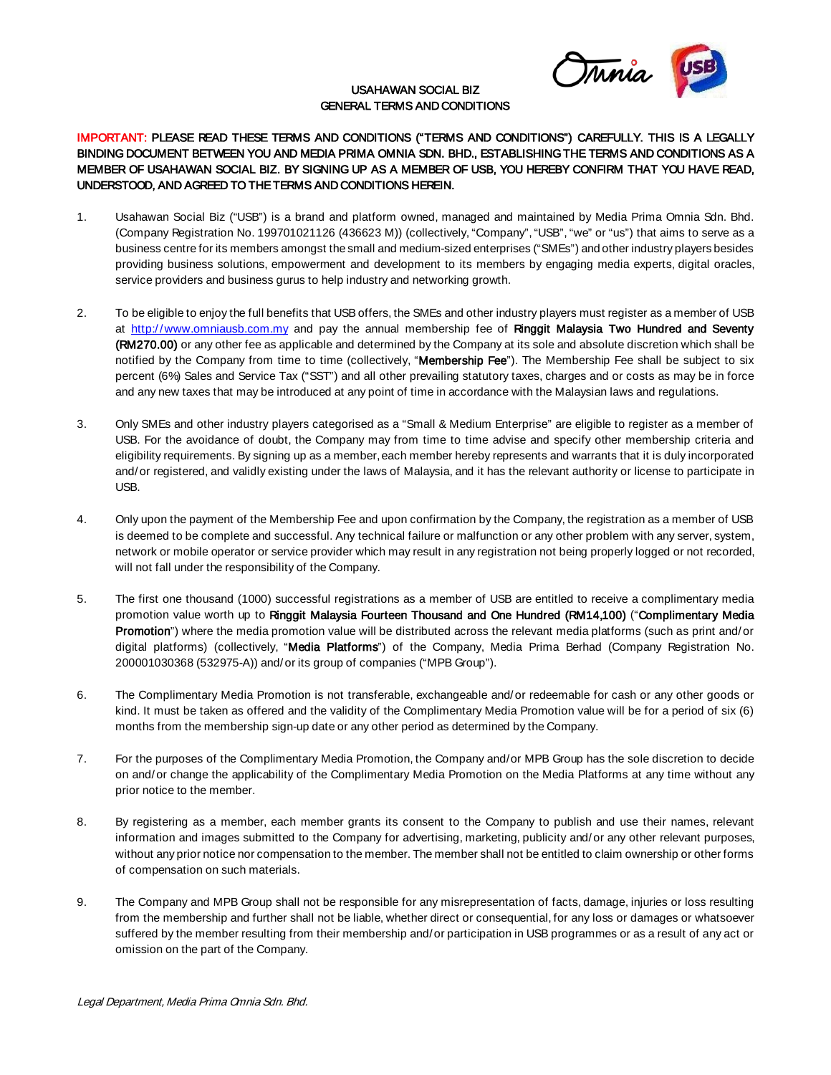

## USAHAWAN SOCIAL BIZ GENERAL TERMS AND CONDITIONS

## IMPORTANT: PLEASE READ THESE TERMS AND CONDITIONS ("TERMS AND CONDITIONS") CAREFULLY. THIS IS A LEGALLY BINDING DOCUMENT BETWEEN YOU AND MEDIA PRIMA OMNIA SDN. BHD., ESTABLISHING THE TERMS AND CONDITIONS AS A MEMBER OF USAHAWAN SOCIAL BIZ. BY SIGNING UP AS A MEMBER OF USB, YOU HEREBY CONFIRM THAT YOU HAVE READ, UNDERSTOOD, AND AGREED TO THE TERMS AND CONDITIONS HEREIN.

- 1. Usahawan Social Biz ("USB") is a brand and platform owned, managed and maintained by Media Prima Omnia Sdn. Bhd. (Company Registration No. 199701021126 (436623 M)) (collectively, "Company", "USB", "we" or "us") that aims to serve as a business centre for its members amongst the small and medium-sized enterprises ("SMEs") and other industry players besides providing business solutions, empowerment and development to its members by engaging media experts, digital oracles, service providers and business gurus to help industry and networking growth.
- 2. To be eligible to enjoy the full benefits that USB offers, the SMEs and other industry players must register as a member of USB at [http://www.omniausb.com.my](http://www.omniausb.com.my/) and pay the annual membership fee of Ringgit Malaysia Two Hundred and Seventy (RM270.00) or any other fee as applicable and determined by the Company at its sole and absolute discretion which shall be notified by the Company from time to time (collectively, "Membership Fee"). The Membership Fee shall be subject to six percent (6%) Sales and Service Tax ("SST") and all other prevailing statutory taxes, charges and or costs as may be in force and any new taxes that may be introduced at any point of time in accordance with the Malaysian laws and regulations.
- 3. Only SMEs and other industry players categorised as a "Small & Medium Enterprise" are eligible to register as a member of USB. For the avoidance of doubt, the Company may from time to time advise and specify other membership criteria and eligibility requirements. By signing up as a member, each member hereby represents and warrants that it is duly incorporated and/or registered, and validly existing under the laws of Malaysia, and it has the relevant authority or license to participate in USB.
- 4. Only upon the payment of the Membership Fee and upon confirmation by the Company, the registration as a member of USB is deemed to be complete and successful. Any technical failure or malfunction or any other problem with any server, system, network or mobile operator or service provider which may result in any registration not being properly logged or not recorded, will not fall under the responsibility of the Company.
- 5. The first one thousand (1000) successful registrations as a member of USB are entitled to receive a complimentary media promotion value worth up to Ringgit Malaysia Fourteen Thousand and One Hundred (RM14,100) ("Complimentary Media Promotion") where the media promotion value will be distributed across the relevant media platforms (such as print and/or digital platforms) (collectively, "Media Platforms") of the Company, Media Prima Berhad (Company Registration No. 200001030368 (532975-A)) and/or its group of companies ("MPB Group").
- 6. The Complimentary Media Promotion is not transferable, exchangeable and/or redeemable for cash or any other goods or kind. It must be taken as offered and the validity of the Complimentary Media Promotion value will be for a period of six (6) months from the membership sign-up date or any other period as determined by the Company.
- 7. For the purposes of the Complimentary Media Promotion, the Company and/or MPB Group has the sole discretion to decide on and/or change the applicability of the Complimentary Media Promotion on the Media Platforms at any time without any prior notice to the member.
- 8. By registering as a member, each member grants its consent to the Company to publish and use their names, relevant information and images submitted to the Company for advertising, marketing, publicity and/or any other relevant purposes, without any prior notice nor compensation to the member. The member shall not be entitled to claim ownership or other forms of compensation on such materials.
- 9. The Company and MPB Group shall not be responsible for any misrepresentation of facts, damage, injuries or loss resulting from the membership and further shall not be liable, whether direct or consequential, for any loss or damages or whatsoever suffered by the member resulting from their membership and/or participation in USB programmes or as a result of any act or omission on the part of the Company.